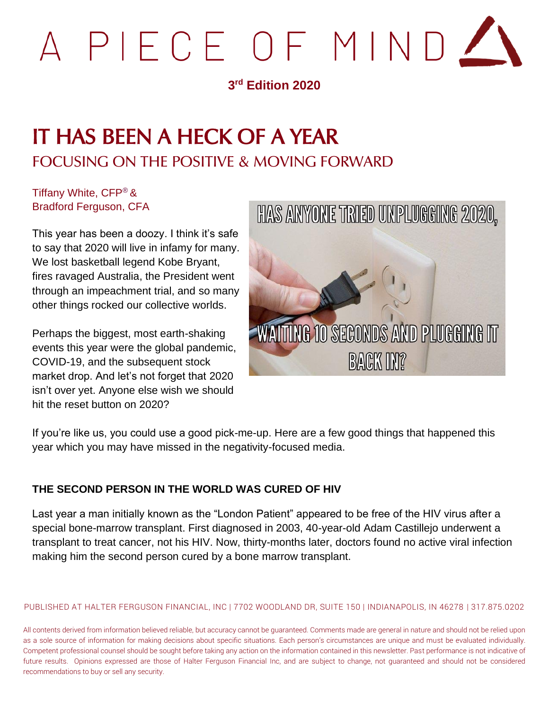

### **3 rd Edition 2020**

# IT HAS BEEN A HECK OF A YEAR FOCUSING ON THE POSITIVE & MOVING FORWARD

Tiffany White, CFP® & Bradford Ferguson, CFA

This year has been a doozy. I think it's safe to say that 2020 will live in infamy for many. We lost basketball legend Kobe Bryant, fires ravaged Australia, the President went through an impeachment trial, and so many other things rocked our collective worlds.

Perhaps the biggest, most earth-shaking events this year were the global pandemic, COVID-19, and the subsequent stock market drop. And let's not forget that 2020 isn't over yet. Anyone else wish we should hit the reset button on 2020?



If you're like us, you could use a good pick-me-up. Here are a few good things that happened this year which you may have missed in the negativity-focused media.

#### **THE SECOND PERSON IN THE WORLD WAS CURED OF HIV**

Last year a man initially known as the "London Patient" appeared to be free of the HIV virus after a special bone-marrow transplant. First diagnosed in 2003, 40-year-old Adam Castillejo underwent a transplant to treat cancer, not his HIV. Now, thirty-months later, doctors found no active viral infection making him the second person cured by a bone marrow transplant.

PUBLISHED AT HALTER FERGUSON FINANCIAL, INC | 7702 WOODLAND DR, SUITE 150 | INDIANAPOLIS, IN 46278 | 317.875.0202

All contents derived from information believed reliable, but accuracy cannot be guaranteed. Comments made are general in nature and should not be relied upon as a sole source of information for making decisions about specific situations. Each person's circumstances are unique and must be evaluated individually. Competent professional counsel should be sought before taking any action on the information contained in this newsletter. Past performance is not indicative of future results. Opinions expressed are those of Halter Ferguson Financial Inc, and are subject to change, not guaranteed and should not be considered recommendations to buy or sell any security.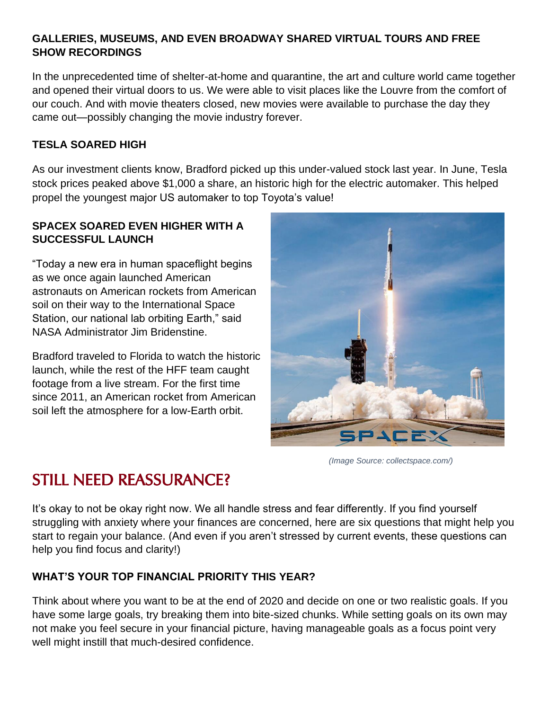#### **GALLERIES, MUSEUMS, AND EVEN BROADWAY SHARED VIRTUAL TOURS AND FREE SHOW RECORDINGS**

In the unprecedented time of shelter-at-home and quarantine, the art and culture world came together and opened their virtual doors to us. We were able to visit places like the Louvre from the comfort of our couch. And with movie theaters closed, new movies were available to purchase the day they came out—possibly changing the movie industry forever.

#### **TESLA SOARED HIGH**

As our investment clients know, Bradford picked up this under-valued stock last year. In June, Tesla stock prices peaked above \$1,000 a share, an historic high for the electric automaker. This helped propel the youngest major US automaker to top Toyota's value!

#### **SPACEX SOARED EVEN HIGHER WITH A SUCCESSFUL LAUNCH**

"Today a new era in human spaceflight begins as we once again launched American astronauts on American rockets from American soil on their way to the International Space Station, our national lab orbiting Earth," said NASA Administrator Jim Bridenstine.

Bradford traveled to Florida to watch the historic launch, while the rest of the HFF team caught footage from a live stream. For the first time since 2011, an American rocket from American soil left the atmosphere for a low-Earth orbit.



*(Image Source: collectspace.com/)*

## STILL NEED REASSURANCE?

It's okay to not be okay right now. We all handle stress and fear differently. If you find yourself struggling with anxiety where your finances are concerned, here are six questions that might help you start to regain your balance. (And even if you aren't stressed by current events, these questions can help you find focus and clarity!)

#### **WHAT'S YOUR TOP FINANCIAL PRIORITY THIS YEAR?**

Think about where you want to be at the end of 2020 and decide on one or two realistic goals. If you have some large goals, try breaking them into bite-sized chunks. While setting goals on its own may not make you feel secure in your financial picture, having manageable goals as a focus point very well might instill that much-desired confidence.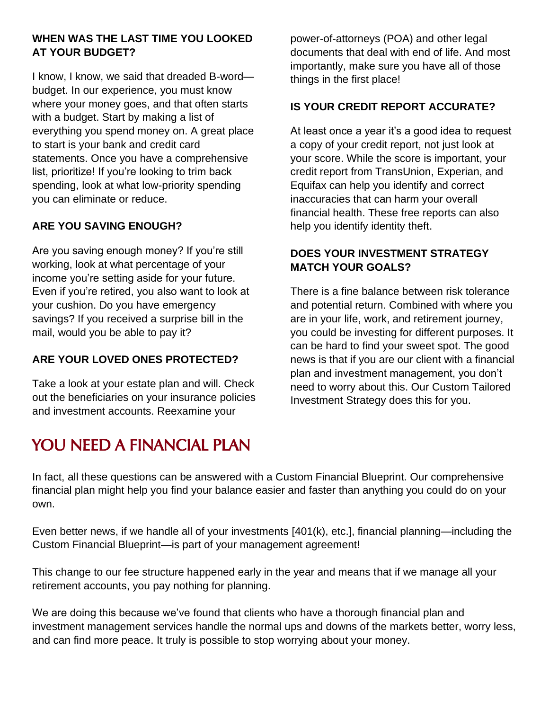#### **WHEN WAS THE LAST TIME YOU LOOKED AT YOUR BUDGET?**

I know, I know, we said that dreaded B-word budget. In our experience, you must know where your money goes, and that often starts with a budget. Start by making a list of everything you spend money on. A great place to start is your bank and credit card statements. Once you have a comprehensive list, prioritize! If you're looking to trim back spending, look at what low-priority spending you can eliminate or reduce.

#### **ARE YOU SAVING ENOUGH?**

Are you saving enough money? If you're still working, look at what percentage of your income you're setting aside for your future. Even if you're retired, you also want to look at your cushion. Do you have emergency savings? If you received a surprise bill in the mail, would you be able to pay it?

#### **ARE YOUR LOVED ONES PROTECTED?**

Take a look at your estate plan and will. Check out the beneficiaries on your insurance policies and investment accounts. Reexamine your

## YOU NEED A FINANCIAL PLAN

power-of-attorneys (POA) and other legal documents that deal with end of life. And most importantly, make sure you have all of those things in the first place!

#### **IS YOUR CREDIT REPORT ACCURATE?**

At least once a year it's a good idea to request a copy of your credit report, not just look at your score. While the score is important, your credit report from TransUnion, Experian, and Equifax can help you identify and correct inaccuracies that can harm your overall financial health. These free reports can also help you identify identity theft.

#### **DOES YOUR INVESTMENT STRATEGY MATCH YOUR GOALS?**

There is a fine balance between risk tolerance and potential return. Combined with where you are in your life, work, and retirement journey, you could be investing for different purposes. It can be hard to find your sweet spot. The good news is that if you are our client with a financial plan and investment management, you don't need to worry about this. Our Custom Tailored Investment Strategy does this for you.

In fact, all these questions can be answered with a Custom Financial Blueprint. Our comprehensive financial plan might help you find your balance easier and faster than anything you could do on your own.

Even better news, if we handle all of your investments [401(k), etc.], financial planning—including the Custom Financial Blueprint—is part of your management agreement!

This change to our fee structure happened early in the year and means that if we manage all your retirement accounts, you pay nothing for planning.

We are doing this because we've found that clients who have a thorough financial plan and investment management services handle the normal ups and downs of the markets better, worry less, and can find more peace. It truly is possible to stop worrying about your money.